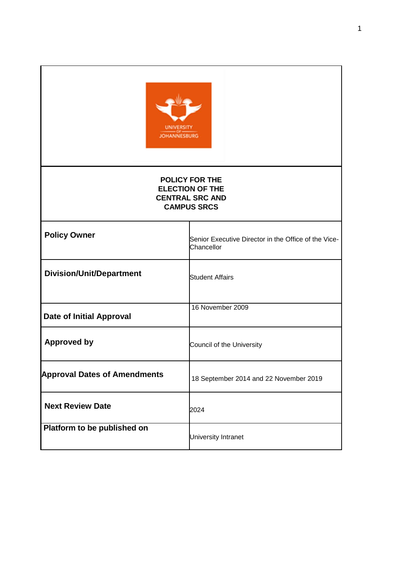

## **POLICY FOR THE ELECTION OF THE CENTRAL SRC AND CAMPUS SRCS**

| <b>Policy Owner</b>                 | Senior Executive Director in the Office of the Vice-<br>Chancellor |
|-------------------------------------|--------------------------------------------------------------------|
| <b>Division/Unit/Department</b>     | <b>Student Affairs</b>                                             |
| Date of Initial Approval            | 16 November 2009                                                   |
| <b>Approved by</b>                  | Council of the University                                          |
| <b>Approval Dates of Amendments</b> | 18 September 2014 and 22 November 2019                             |
| <b>Next Review Date</b>             | 2024                                                               |
| Platform to be published on         | University Intranet                                                |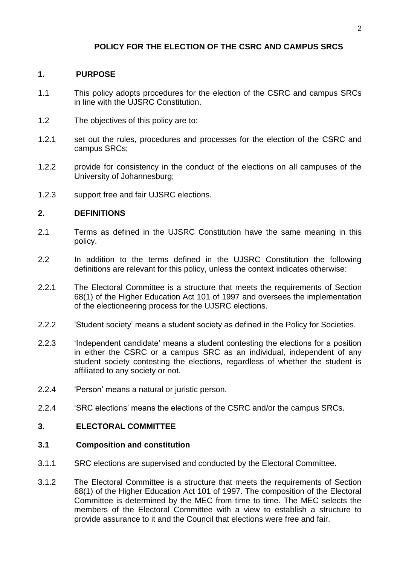# **POLICY FOR THE ELECTION OF THE CSRC AND CAMPUS SRCS**

## **1. PURPOSE**

- 1.1 This policy adopts procedures for the election of the CSRC and campus SRCs in line with the UJSRC Constitution.
- 1.2 The objectives of this policy are to:
- 1.2.1 set out the rules, procedures and processes for the election of the CSRC and campus SRCs;
- 1.2.2 provide for consistency in the conduct of the elections on all campuses of the University of Johannesburg;
- 1.2.3 support free and fair UJSRC elections.

## **2. DEFINITIONS**

- 2.1 Terms as defined in the UJSRC Constitution have the same meaning in this policy.
- 2.2 In addition to the terms defined in the UJSRC Constitution the following definitions are relevant for this policy, unless the context indicates otherwise:
- 2.2.1 The Electoral Committee is a structure that meets the requirements of Section 68(1) of the Higher Education Act 101 of 1997 and oversees the implementation of the electioneering process for the UJSRC elections.
- 2.2.2 'Student society' means a student society as defined in the Policy for Societies.
- 2.2.3 'Independent candidate' means a student contesting the elections for a position in either the CSRC or a campus SRC as an individual, independent of any student society contesting the elections, regardless of whether the student is affiliated to any society or not.
- 2.2.4 'Person' means a natural or juristic person.
- 2.2.4 'SRC elections' means the elections of the CSRC and/or the campus SRCs.

## **3. ELECTORAL COMMITTEE**

## **3.1 Composition and constitution**

- 3.1.1 SRC elections are supervised and conducted by the Electoral Committee.
- 3.1.2 The Electoral Committee is a structure that meets the requirements of Section 68(1) of the Higher Education Act 101 of 1997. The composition of the Electoral Committee is determined by the MEC from time to time. The MEC selects the members of the Electoral Committee with a view to establish a structure to provide assurance to it and the Council that elections were free and fair.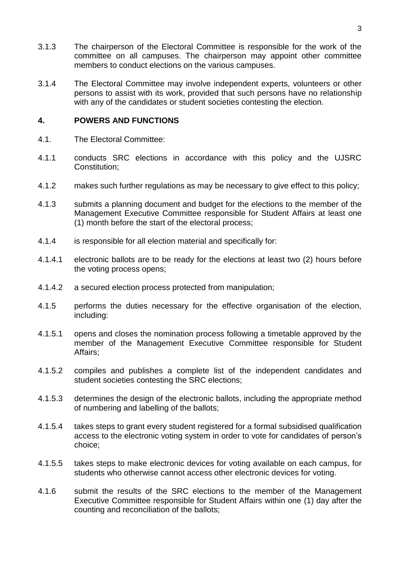- 3.1.3 The chairperson of the Electoral Committee is responsible for the work of the committee on all campuses. The chairperson may appoint other committee members to conduct elections on the various campuses.
- 3.1.4 The Electoral Committee may involve independent experts, volunteers or other persons to assist with its work, provided that such persons have no relationship with any of the candidates or student societies contesting the election.

### **4. POWERS AND FUNCTIONS**

- 4.1. The Electoral Committee:
- 4.1.1 conducts SRC elections in accordance with this policy and the UJSRC Constitution;
- 4.1.2 makes such further regulations as may be necessary to give effect to this policy;
- 4.1.3 submits a planning document and budget for the elections to the member of the Management Executive Committee responsible for Student Affairs at least one (1) month before the start of the electoral process;
- 4.1.4 is responsible for all election material and specifically for:
- 4.1.4.1 electronic ballots are to be ready for the elections at least two (2) hours before the voting process opens;
- 4.1.4.2 a secured election process protected from manipulation;
- 4.1.5 performs the duties necessary for the effective organisation of the election, including:
- 4.1.5.1 opens and closes the nomination process following a timetable approved by the member of the Management Executive Committee responsible for Student Affairs;
- 4.1.5.2 compiles and publishes a complete list of the independent candidates and student societies contesting the SRC elections;
- 4.1.5.3 determines the design of the electronic ballots, including the appropriate method of numbering and labelling of the ballots;
- 4.1.5.4 takes steps to grant every student registered for a formal subsidised qualification access to the electronic voting system in order to vote for candidates of person's choice;
- 4.1.5.5 takes steps to make electronic devices for voting available on each campus, for students who otherwise cannot access other electronic devices for voting.
- 4.1.6 submit the results of the SRC elections to the member of the Management Executive Committee responsible for Student Affairs within one (1) day after the counting and reconciliation of the ballots;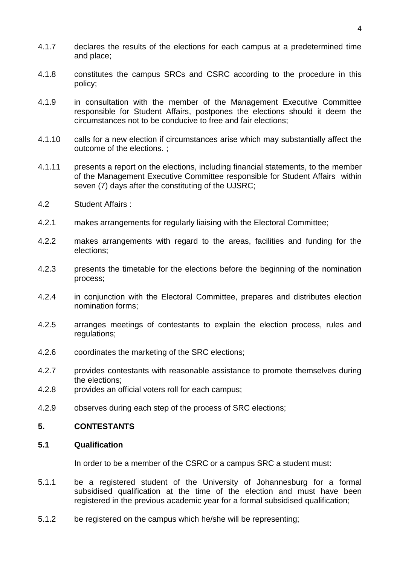- 4.1.7 declares the results of the elections for each campus at a predetermined time and place;
- 4.1.8 constitutes the campus SRCs and CSRC according to the procedure in this policy;
- 4.1.9 in consultation with the member of the Management Executive Committee responsible for Student Affairs, postpones the elections should it deem the circumstances not to be conducive to free and fair elections;
- 4.1.10 calls for a new election if circumstances arise which may substantially affect the outcome of the elections. ;
- 4.1.11 presents a report on the elections, including financial statements, to the member of the Management Executive Committee responsible for Student Affairs within seven (7) days after the constituting of the UJSRC;
- 4.2 Student Affairs :
- 4.2.1 makes arrangements for regularly liaising with the Electoral Committee;
- 4.2.2 makes arrangements with regard to the areas, facilities and funding for the elections;
- 4.2.3 presents the timetable for the elections before the beginning of the nomination process;
- 4.2.4 in conjunction with the Electoral Committee, prepares and distributes election nomination forms;
- 4.2.5 arranges meetings of contestants to explain the election process, rules and regulations;
- 4.2.6 coordinates the marketing of the SRC elections;
- 4.2.7 provides contestants with reasonable assistance to promote themselves during the elections;
- 4.2.8 provides an official voters roll for each campus;
- 4.2.9 observes during each step of the process of SRC elections;

#### **5. CONTESTANTS**

### **5.1 Qualification**

In order to be a member of the CSRC or a campus SRC a student must:

- 5.1.1 be a registered student of the University of Johannesburg for a formal subsidised qualification at the time of the election and must have been registered in the previous academic year for a formal subsidised qualification;
- 5.1.2 be registered on the campus which he/she will be representing;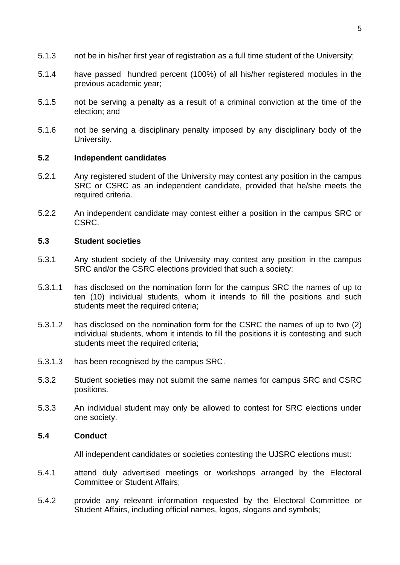- 5.1.3 not be in his/her first year of registration as a full time student of the University;
- 5.1.4 have passed hundred percent (100%) of all his/her registered modules in the previous academic year;
- 5.1.5 not be serving a penalty as a result of a criminal conviction at the time of the election; and
- 5.1.6 not be serving a disciplinary penalty imposed by any disciplinary body of the University.

#### **5.2 Independent candidates**

- 5.2.1 Any registered student of the University may contest any position in the campus SRC or CSRC as an independent candidate, provided that he/she meets the required criteria.
- 5.2.2 An independent candidate may contest either a position in the campus SRC or CSRC.

## **5.3 Student societies**

- 5.3.1 Any student society of the University may contest any position in the campus SRC and/or the CSRC elections provided that such a society:
- 5.3.1.1 has disclosed on the nomination form for the campus SRC the names of up to ten (10) individual students, whom it intends to fill the positions and such students meet the required criteria:
- 5.3.1.2 has disclosed on the nomination form for the CSRC the names of up to two (2) individual students, whom it intends to fill the positions it is contesting and such students meet the required criteria:
- 5.3.1.3 has been recognised by the campus SRC.
- 5.3.2 Student societies may not submit the same names for campus SRC and CSRC positions.
- 5.3.3 An individual student may only be allowed to contest for SRC elections under one society.

#### **5.4 Conduct**

All independent candidates or societies contesting the UJSRC elections must:

- 5.4.1 attend duly advertised meetings or workshops arranged by the Electoral Committee or Student Affairs;
- 5.4.2 provide any relevant information requested by the Electoral Committee or Student Affairs, including official names, logos, slogans and symbols;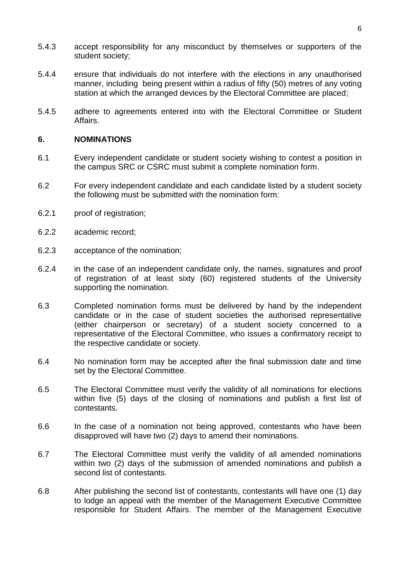- 5.4.3 accept responsibility for any misconduct by themselves or supporters of the student society;
- 5.4.4 ensure that individuals do not interfere with the elections in any unauthorised manner, including being present within a radius of fifty (50) metres of any voting station at which the arranged devices by the Electoral Committee are placed;
- 5.4.5 adhere to agreements entered into with the Electoral Committee or Student Affairs.

## **6. NOMINATIONS**

- 6.1 Every independent candidate or student society wishing to contest a position in the campus SRC or CSRC must submit a complete nomination form.
- 6.2 For every independent candidate and each candidate listed by a student society the following must be submitted with the nomination form:
- 6.2.1 proof of registration;
- 6.2.2 academic record;
- 6.2.3 acceptance of the nomination;
- 6.2.4 in the case of an independent candidate only, the names, signatures and proof of registration of at least sixty (60) registered students of the University supporting the nomination.
- 6.3 Completed nomination forms must be delivered by hand by the independent candidate or in the case of student societies the authorised representative (either chairperson or secretary) of a student society concerned to a representative of the Electoral Committee, who issues a confirmatory receipt to the respective candidate or society.
- 6.4 No nomination form may be accepted after the final submission date and time set by the Electoral Committee.
- 6.5 The Electoral Committee must verify the validity of all nominations for elections within five (5) days of the closing of nominations and publish a first list of contestants.
- 6.6 In the case of a nomination not being approved, contestants who have been disapproved will have two (2) days to amend their nominations.
- 6.7 The Electoral Committee must verify the validity of all amended nominations within two (2) days of the submission of amended nominations and publish a second list of contestants.
- 6.8 After publishing the second list of contestants, contestants will have one (1) day to lodge an appeal with the member of the Management Executive Committee responsible for Student Affairs. The member of the Management Executive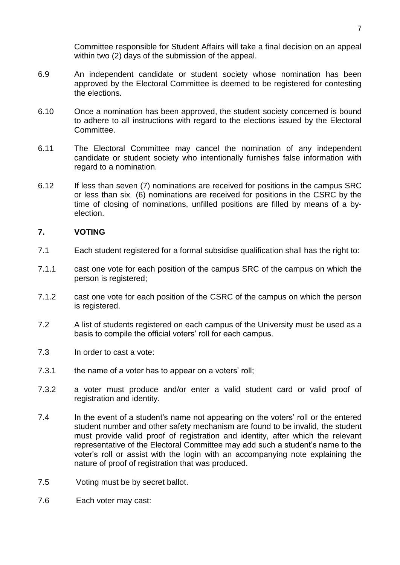Committee responsible for Student Affairs will take a final decision on an appeal within two (2) days of the submission of the appeal.

- 6.9 An independent candidate or student society whose nomination has been approved by the Electoral Committee is deemed to be registered for contesting the elections.
- 6.10 Once a nomination has been approved, the student society concerned is bound to adhere to all instructions with regard to the elections issued by the Electoral Committee.
- 6.11 The Electoral Committee may cancel the nomination of any independent candidate or student society who intentionally furnishes false information with regard to a nomination.
- 6.12 If less than seven (7) nominations are received for positions in the campus SRC or less than six (6) nominations are received for positions in the CSRC by the time of closing of nominations, unfilled positions are filled by means of a byelection.

## **7. VOTING**

- 7.1 Each student registered for a formal subsidise qualification shall has the right to:
- 7.1.1 cast one vote for each position of the campus SRC of the campus on which the person is registered;
- 7.1.2 cast one vote for each position of the CSRC of the campus on which the person is registered.
- 7.2 A list of students registered on each campus of the University must be used as a basis to compile the official voters' roll for each campus.
- 7.3 In order to cast a vote:
- 7.3.1 the name of a voter has to appear on a voters' roll;
- 7.3.2 a voter must produce and/or enter a valid student card or valid proof of registration and identity.
- 7.4 In the event of a student's name not appearing on the voters' roll or the entered student number and other safety mechanism are found to be invalid, the student must provide valid proof of registration and identity, after which the relevant representative of the Electoral Committee may add such a student's name to the voter's roll or assist with the login with an accompanying note explaining the nature of proof of registration that was produced.
- 7.5 Voting must be by secret ballot.
- 7.6 Each voter may cast: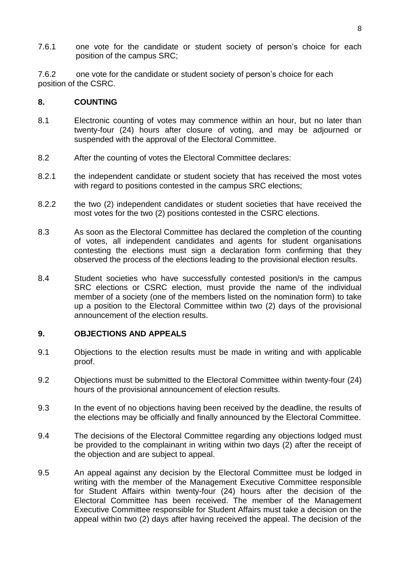7.6.1 one vote for the candidate or student society of person's choice for each position of the campus SRC;

7.6.2 one vote for the candidate or student society of person's choice for each position of the CSRC.

### **8. COUNTING**

- 8.1 Electronic counting of votes may commence within an hour, but no later than twenty-four (24) hours after closure of voting, and may be adjourned or suspended with the approval of the Electoral Committee.
- 8.2 After the counting of votes the Electoral Committee declares:
- 8.2.1 the independent candidate or student society that has received the most votes with regard to positions contested in the campus SRC elections;
- 8.2.2 the two (2) independent candidates or student societies that have received the most votes for the two (2) positions contested in the CSRC elections.
- 8.3 As soon as the Electoral Committee has declared the completion of the counting of votes, all independent candidates and agents for student organisations contesting the elections must sign a declaration form confirming that they observed the process of the elections leading to the provisional election results.
- 8.4 Student societies who have successfully contested position/s in the campus SRC elections or CSRC election, must provide the name of the individual member of a society (one of the members listed on the nomination form) to take up a position to the Electoral Committee within two (2) days of the provisional announcement of the election results.

## **9. OBJECTIONS AND APPEALS**

- 9.1 Objections to the election results must be made in writing and with applicable proof.
- 9.2 Objections must be submitted to the Electoral Committee within twenty-four (24) hours of the provisional announcement of election results.
- 9.3 In the event of no objections having been received by the deadline, the results of the elections may be officially and finally announced by the Electoral Committee.
- 9.4 The decisions of the Electoral Committee regarding any objections lodged must be provided to the complainant in writing within two days (2) after the receipt of the objection and are subject to appeal.
- 9.5 An appeal against any decision by the Electoral Committee must be lodged in writing with the member of the Management Executive Committee responsible for Student Affairs within twenty-four (24) hours after the decision of the Electoral Committee has been received. The member of the Management Executive Committee responsible for Student Affairs must take a decision on the appeal within two (2) days after having received the appeal. The decision of the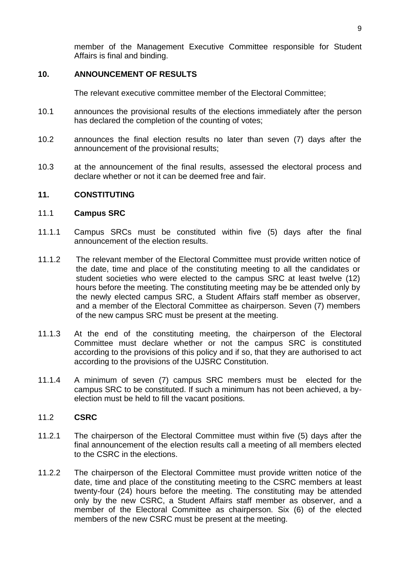member of the Management Executive Committee responsible for Student Affairs is final and binding.

## **10. ANNOUNCEMENT OF RESULTS**

The relevant executive committee member of the Electoral Committee;

- 10.1 announces the provisional results of the elections immediately after the person has declared the completion of the counting of votes;
- 10.2 announces the final election results no later than seven (7) days after the announcement of the provisional results;
- 10.3 at the announcement of the final results, assessed the electoral process and declare whether or not it can be deemed free and fair.

## **11. CONSTITUTING**

#### 11.1 **Campus SRC**

- 11.1.1 Campus SRCs must be constituted within five (5) days after the final announcement of the election results.
- 11.1.2 The relevant member of the Electoral Committee must provide written notice of the date, time and place of the constituting meeting to all the candidates or student societies who were elected to the campus SRC at least twelve (12) hours before the meeting. The constituting meeting may be be attended only by the newly elected campus SRC, a Student Affairs staff member as observer, and a member of the Electoral Committee as chairperson. Seven (7) members of the new campus SRC must be present at the meeting.
- 11.1.3 At the end of the constituting meeting, the chairperson of the Electoral Committee must declare whether or not the campus SRC is constituted according to the provisions of this policy and if so, that they are authorised to act according to the provisions of the UJSRC Constitution.
- 11.1.4 A minimum of seven (7) campus SRC members must be elected for the campus SRC to be constituted. If such a minimum has not been achieved, a byelection must be held to fill the vacant positions.

### 11.2 **CSRC**

- 11.2.1 The chairperson of the Electoral Committee must within five (5) days after the final announcement of the election results call a meeting of all members elected to the CSRC in the elections.
- 11.2.2 The chairperson of the Electoral Committee must provide written notice of the date, time and place of the constituting meeting to the CSRC members at least twenty-four (24) hours before the meeting. The constituting may be attended only by the new CSRC, a Student Affairs staff member as observer, and a member of the Electoral Committee as chairperson. Six (6) of the elected members of the new CSRC must be present at the meeting.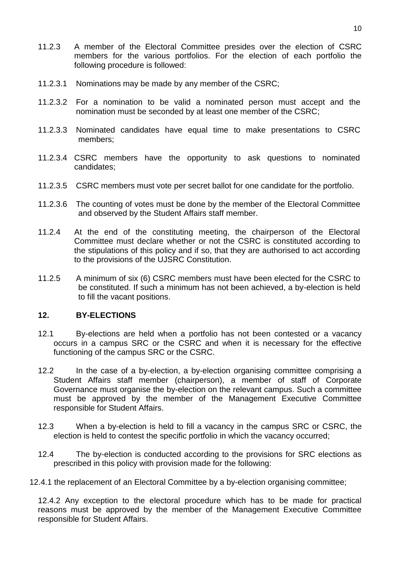- 11.2.3 A member of the Electoral Committee presides over the election of CSRC members for the various portfolios. For the election of each portfolio the following procedure is followed:
- 11.2.3.1 Nominations may be made by any member of the CSRC;
- 11.2.3.2 For a nomination to be valid a nominated person must accept and the nomination must be seconded by at least one member of the CSRC;
- 11.2.3.3 Nominated candidates have equal time to make presentations to CSRC members;
- 11.2.3.4 CSRC members have the opportunity to ask questions to nominated candidates;
- 11.2.3.5 CSRC members must vote per secret ballot for one candidate for the portfolio.
- 11.2.3.6 The counting of votes must be done by the member of the Electoral Committee and observed by the Student Affairs staff member.
- 11.2.4 At the end of the constituting meeting, the chairperson of the Electoral Committee must declare whether or not the CSRC is constituted according to the stipulations of this policy and if so, that they are authorised to act according to the provisions of the UJSRC Constitution.
- 11.2.5 A minimum of six (6) CSRC members must have been elected for the CSRC to be constituted. If such a minimum has not been achieved, a by-election is held to fill the vacant positions.

## **12. BY-ELECTIONS**

- 12.1 By-elections are held when a portfolio has not been contested or a vacancy occurs in a campus SRC or the CSRC and when it is necessary for the effective functioning of the campus SRC or the CSRC.
- 12.2 In the case of a by-election, a by-election organising committee comprising a Student Affairs staff member (chairperson), a member of staff of Corporate Governance must organise the by-election on the relevant campus. Such a committee must be approved by the member of the Management Executive Committee responsible for Student Affairs.
- 12.3 When a by-election is held to fill a vacancy in the campus SRC or CSRC, the election is held to contest the specific portfolio in which the vacancy occurred;
- 12.4 The by-election is conducted according to the provisions for SRC elections as prescribed in this policy with provision made for the following:
- 12.4.1 the replacement of an Electoral Committee by a by-election organising committee;

12.4.2 Any exception to the electoral procedure which has to be made for practical reasons must be approved by the member of the Management Executive Committee responsible for Student Affairs.